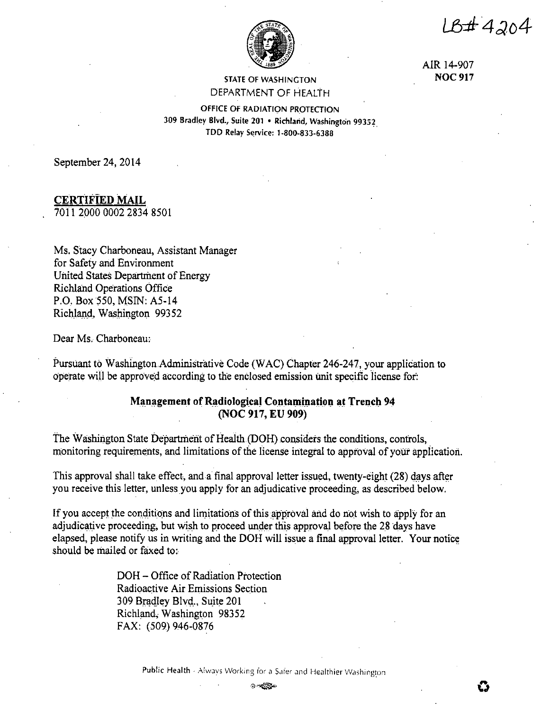$18 + 4204$ 



AIR 14-907 **NOC917** 

# STATE OF WASHINGTON DEPARTMENT OF HEALTH

OFFICE OF RADIATION PROTECTION 309 Bradley Blvd., Suite 201 • Richland, Washington 99352\_ TDD Relay Service: 1-800-833-6388

September 24, 2014

**CERTIFIED MAIL** 

7on :2000 0002 2834 8501

Ms. Stacy Charboneau, Assistant Manager for Safety and Environment United States Department of Energy Richland Operations Office P.O. Box *550,* MSIN: AS-14 Richland, Washington 99352

Dear Ms. Charboneau:

Pursuant to Washington.Administrative Code (WAC) Chapter 246-247, your application to operate will be approved according to the enclosed emission unit specific license for:

# **Management of Radiological Contamination at Trench 94 (NOC 917, EU 909)**

The Washington State Department of Health (DOH) considers the conditions, controls, monitoring requirements, and limitations of the license integral to approval of your application.

This approval shall take effect, and a final approval letter issued, twenty-eight (28) d\_ays after you receive this letter, unless you apply for an adjudicative proceeding, as described below.

If you accept the conditions and limitations of this approval and do not wish to apply for an adjudicative proceeding, but wish to proceed under this approval before the 28 days have elapsed, please notify us in writing and the DOH will issue a final approval letter. Your notice should be mailed or faxed to:

> DOH- Office of Radiation Protection Radioactive Air Emissions Section 309 Bradley Blvd., Suite 201 Richland, Washington 98352 FAX: (509) 946-0876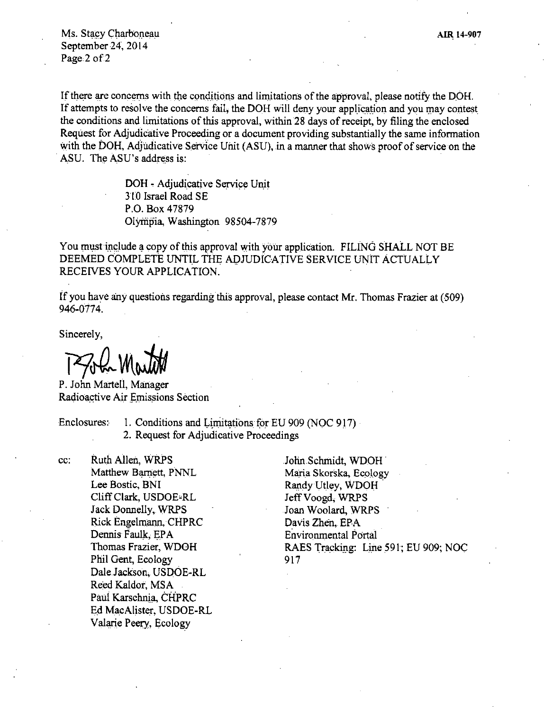Ms. Stacy Charboneau September 24, 2014 Page 2 of 2

If there are concerns with the conditions and limitations of the approval, please notify the DOH. If attempts to resolve the concerns fail, the DOH will deny your application and you may contest the conditions and limitations of this approval, within28 days of receipt, by filing the enclosed Request for Adjudicative Proceeding or a document providing substantially the same information with the DOH, Adjudicative Service Unit (ASU), in a manner that shows proof of service on the ASU. The ASU's address is:

> DOH - Adjudicative Service Unit 310 Israel Road SE P.O. Box 47879 Olympia, Washington 98504-7879

You must include a copy of this approval with your application. FILING SHALL NOT BE DEEMED COMPLETE UNTIL THE ADJUDICATIVE SERVICE UNIT ACTUALLY RECEIVES YOUR APPLICATION.

if you have any questions regarding this approval, please contact Mr. Thomas Frazier at (509) 946-0774.

Sincerely,

 $PSL$  Mouth

P. John Martell, Manager Radioactive Air Emissions Section

Enclosures: I. Conditions and Limitations for EU 909 (NOC 917) 2. Request for Adjudicative Proceedings

cc: Ruth Allen, WRPS Matthew Barnett, PNNL Lee Bostic, BNI Cliff Clark, USDOE-RL Jack Donnelly, WRPS Rick Engelmann, CHPRC Dennis Faulk, EPA Thomas Frazier, WDOH Phil Gent, Ecology Dale.Jackson, USDOE-RL Reed Kaldor, MSA Paul Karschnia, CHPRC Ed MacAlister, USDOE-RL Valarie Peery, Ecology

John Schmidt, WDOH. Maria Skorska, Ecology Randy Utley, WDOH Jeff Voogd, WRPS Joan Woolard, WRPS Davis Zhen, EPA Environmental Portal RAES Tracking: Line 591; EU 909; NOC 917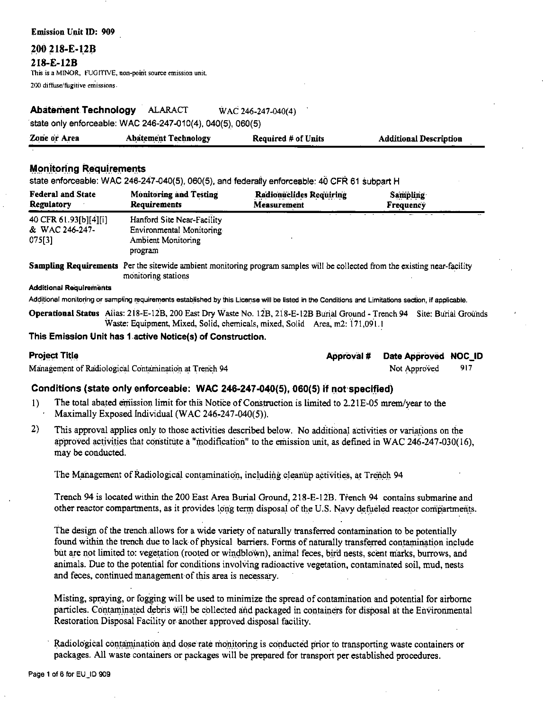**Emission Unit ID: 909** 

200 218-E-12B

#### 218-E-12B

This is a MINOR, FUGITIVE, non-point source emission unit. 200 diffuse/fugitive emissions

#### Abatement Technology ALARACT WAC 246-247-040(4)

state only enforceable: WAC 246-247-010(4), 040(5), 060(5)

| Zone or Area | <b>Abatement Technology</b> | <b>Required # of Units</b> | <b>Additional Description</b> |
|--------------|-----------------------------|----------------------------|-------------------------------|
|              |                             |                            |                               |

# **Monitoring Requirements**

state enforceable: WAC 246-247-040(5), 060(5), and federally enforceable: 40 CFR 61 subpart H

| <b>Federal and State</b>                          | <b>Monitoring and Testing</b>                                                                  | Radionuclides Requiring | <b>Sampling</b> |  |
|---------------------------------------------------|------------------------------------------------------------------------------------------------|-------------------------|-----------------|--|
| <b>Regulatory</b>                                 | <b>Requirements</b>                                                                            | Measurement             | Frequency       |  |
| 40 CFR 61.93[b][4][i]<br>& WAC 246-247-<br>075[3] | Hanford Site Near-Facility<br>Environmental Monitoring<br><b>Ambient Monitoring</b><br>program |                         |                 |  |

Sampling Requirements Per the sitewide ambient monitoring program samples will be collected from the existing near-facility monitoring stations

#### **Additional Requirements**

Additional monitoring or sampling requirements established by this License will be listed in the Conditions and Limitations section, if applicable.

Operational Status Alias: 218-E-12B, 200 East Dry Waste No. 12B, 218-E-12B Burial Ground - Trench 94 Site: Burial Grounds Waste: Equipment, Mixed, Solid, chemicals, mixed, Solid Area, m2: 171,091.1

### This Emission Unit has 1 active Notice(s) of Construction.

#### **Project Title**

Management of Radiological Contamination at Trench 94

| Approval # | Date Approved NOC_ID |  |
|------------|----------------------|--|
|------------|----------------------|--|

917 Not Approved

# Conditions (state only enforceable: WAC 246-247-040(5), 060(5) if not specified)

- The total abated emission limit for this Notice of Construction is limited to 2.21E-05 mrem/year to the  $\overline{1}$ Maximally Exposed Individual (WAC 246-247-040(5)).
- $2)$ This approval applies only to those activities described below. No additional activities or variations on the approved activities that constitute a "modification" to the emission unit, as defined in WAC 246-247-030(16), may be conducted.

The Management of Radiological contamination, including cleanup activities, at Trench 94

Trench 94 is located within the 200 East Area Burial Ground, 218-E-12B. Trench 94 contains submarine and other reactor compartments, as it provides long term disposal of the U.S. Navy defueled reactor compartments.

The design of the trench allows for a wide variety of naturally transferred contamination to be potentially found within the trench due to lack of physical barriers. Forms of naturally transferred contamination include but are not limited to: vegetation (rooted or windblown), animal feces, bird nests, scent marks, burrows, and animals. Due to the potential for conditions involving radioactive vegetation, contaminated soil, mud, nests and feces, continued management of this area is necessary.

Misting, spraying, or fogging will be used to minimize the spread of contamination and potential for airborne particles. Contaminated debris will be collected and packaged in containers for disposal at the Environmental Restoration Disposal Facility or another approved disposal facility.

Radiological contamination and dose rate monitoring is conducted prior to transporting waste containers or packages. All waste containers or packages will be prepared for transport per established procedures.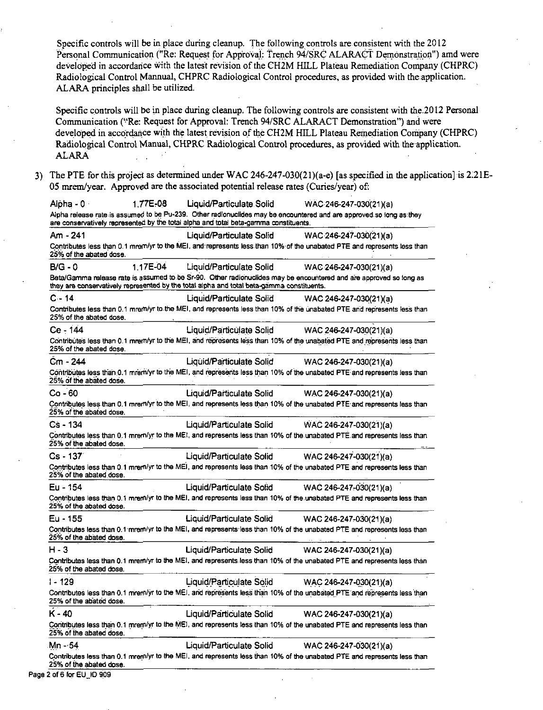Specific controls will be in place during cleanup. The following controls are consistent with the 2012 Personal Communication ("Re: Request for Approval: Trench 94/SRC ALARACT Demonstration") amd were developed in accordance with the latest revision of the CH2M HILL Plateau Remediation Company (CHPRC) Radiological Control Mannual, CHPRC Radiological Control procedures, as provided with the application. ALARA principles shall be utilized.

Specific controls will be in place during cleanup. The following controls are consistent with the 2012 Personal Communication (''Re: Request forApproval: Trench 94/SRC ALARACT Demonstration") and were developed in accordance with the latest revision of the CH2M HILL Plateau Remediation Company (CHPRC) Radiological Control Manual, CHPRC Radiological Control procedures, as provided with the application. ALARA

3) The PTE for this project as determined under WAC 246-247-030(2l)(a-e) [as specified in the application] is 2:ZlE-05 mrem/year. Approved are the associated potential release rates (Curies/year) of:

Alpha - 0 · · · · · 1.77E-08 Liquid/Particulate. Solid WAC 246-247-030(21)(a) Alpha release rate is assumed to be Pu-239. Other radionuclides may be encountered and are approved so long as:they are conservatively represented by the total alpha and total beta-gamma constituents. Am -241 Liquid/Particulate Solid WAC246-247-030(21)(a) Contributes less than 0.1 mrem/yr to the MEI, and:represents less.than 10% of the unabated PTE and represents.less than 25% of the abated dose. **B/G-0** 1.17E~04 Liquid/Particulate Solid WAC246-247-030(21 )(a) Beta/Gamma release rate is assumed to be Sr-90. Other radionuclides may be encountered and are approved so long as they are conservatively represented by the total alpha and total beta-gamma constituents. C - 14 Liquid/Particulate Solid WAC 246-247-030(21)(a} Contributes less than 0.1 mrem/yr to the MEI, and represents less than 10% of the unabated PTE and represents less than **25% of the abated dose.**  Ce - 144 Liquid/Particulate Solid WAC 246-247-030(21)(a) Contributes less than 0.1 mrem/yr to the MEI, and represents less than 10% of the unabated PTE and represents less than 25% of the abated dose. Cm **-244** Liquid/Pa·rticulate SoHd WAC 246-247-030(21)(a) Contributes less than 0.1 mrem/yr to the MEI, and represents less than 10% of the unabated PTE and represents less than **25% Of the abated doSe.** . Co\_. 60 Liquid/Particulate Solid WAC 246-247-030(21 )(a) Contributes less than 0.1 mrem/yr to the MEI, and represents less than 10% of the unabated PTE and represents less than 25% of the abated dose. Cs - 134 Liquid/Particulate Solid WAC 246-247-030(21)(a) Contributes less than 0.1 mrem/yr to the MEI, and represents less than 10% of the unabated PTE and represents less than 25% of the abated dose. Cs - 137 Uquid/Particulate Solid WAC 246-247-030(21)(a) Contributes less than 0.1 mrem/yr to the MEI, and represents less than 10% of the unabated PTE and represents less than **25% cifthe abated.dose.**  Eu· 154 Liquid/Particulate Solid WAC 246-247,-030(21 )(a) Contributes less than 0.1 mrern/yr to the MEI, and represents less than 10% of the unabated PTE and represents less than 25% of the abated dose. Eu-155 Liquid/Particulate Solid WAC 246-247-030(21)(a) **9qr:itriputes less than 0.1 ·mreni/yr to the MEI, and represents·less than 10% of the unabated PTE and. represents less than**  25% of the abated dose. H-3 Liquid/Particulate Solid WAC 246-247-030(21 )(a) **Contributes less than 0.1 mrerri/yr to the MEI, and represents.less than 10% of the unabated PTE and represents less than**  25% of the abated dose. 1-129 **1-129 1-129 1-129 Liquid/Particulate Solid WAC 246-247-030(21)(a)** Contributes less than 0.1 mrem/yr to the MEI, and represents less than 10% of the unabated PTE and represents less than 25% of the abated dose. K-40 Liquid/Particulate Solid WAC 246-247-030(21 )(a) Contributes less than 0.1 mrem/yr to the MEI, and represents less than 10% of the unabated PTE and represents less than 25% of the abated dose. 1111n --54 Liquid/Particulate Solid WAC 246-247-030(21 )(a) **Contributes less than 0.1 mrern/yr to the MEI. and represents less than 10% of the unabated.PTE and represents less than**  25% of the abated dose.

Page 2 of 6 for EU\_ID 909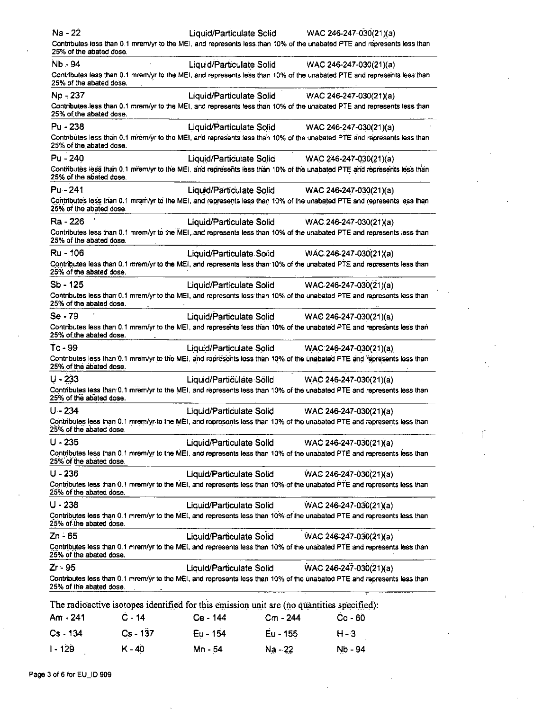| Na - 22                 |            |                          |          | Liquid/Particulate Solid WAC 246-247-030(21)(a)                                                                         |  |
|-------------------------|------------|--------------------------|----------|-------------------------------------------------------------------------------------------------------------------------|--|
| 25% of the abated dose. |            |                          |          | Contributes less than 0.1 mrem/yr to the MEI, and represents less than 10% of the unabated PTE and represents less than |  |
| Nb 94                   |            |                          |          | Liquid/Particulate Solid WAC 246-247-030(21)(a)                                                                         |  |
| 25% of the abated dose. |            |                          |          | Contributes less than 0.1 mrem/yr to the MEI, and represents less than 10% of the unabated PTE and represents less than |  |
| Np - 237                |            |                          |          | Liquid/Particulate Solid WAC 246-247-030(21)(a)                                                                         |  |
| 25% of the abated dose. |            |                          |          | Contributes less than 0.1 mrem/yr to the MEI, and represents less than 10% of the unabated PTE and represents less than |  |
| Pu - 238                |            |                          |          | Liquid/Particulate Solid WAC 246-247-030(21)(a)                                                                         |  |
| 25% of the abated dose. |            |                          |          | Contributes less than 0.1 mrem/yr to the MEI, and represents less than 10% of the unabated PTE and represents less than |  |
| Pu - 240                |            | Liquid/Particulate Solid |          | WAC 246-247-030(21)(a)                                                                                                  |  |
| 25% of the abated dose. |            |                          |          | Contributes less than 0.1 mrem/yr to the MEI, and represents less than 10% of the unabated PTE and represents less than |  |
| Pu - 241                |            | Liquid/Particulate Solid |          | WAC 246-247-030(21)(a)                                                                                                  |  |
| 25% of the abated dose. |            |                          |          | Contributes less than 0.1 mrem/yr to the MEI, and represents less than 10% of the unabated PTE and represents less than |  |
| Ra - 226                |            |                          |          | Liquid/Particulate Solid WAC 246-247-030(21)(a)                                                                         |  |
| 25% of the abated dose. |            |                          |          | Contributes less than 0.1 mrem/yr to the MEI, and represents less than 10% of the unabated PTE and represents less than |  |
| Ru - 106                |            |                          |          | Liquid/Particulate Solid WAC 246-247-030(21)(a)                                                                         |  |
| 25% of the abated dose. |            |                          |          | Contributes less than 0.1 mrem/yr to the MEI, and represents less than 10% of the unabated PTE and represents less than |  |
| $Sb - 125$              |            | Liquid/Particulate Solid |          | WAC 246-247-030(21)(a)                                                                                                  |  |
| 25% of the abated dose. |            |                          |          | Contributes less than 0.1 mrem/yr to the MEI, and represents less than 10% of the unabated PTE and represents less than |  |
| Se - 79                 |            | Liquid/Particulate Solid |          | WAC 246-247-030(21)(a)                                                                                                  |  |
| 25% of the abated dose. |            |                          |          | Contributes less than 0.1 mrem/yr to the MEI, and represents less than 10% of the unabated PTE and represents less than |  |
| Tc - 99                 |            | Liquid/Particulate Solid |          | WAC 246-247-030(21)(a)                                                                                                  |  |
| 25% of the abated dose. |            |                          |          | Contributes less than 0.1 mrem/yr to the MEI, and represents less than 10% of the unabated PTE and represents less than |  |
| $U - 233$               |            |                          |          | Liquid/Particulate Solid WAC 246-247-030(21)(a)                                                                         |  |
| 25% of the abated dose. |            |                          |          | Contributes less than 0.1 mrem/yr to the MEI, and represents less than 10% of the unabated PTE and represents less than |  |
| $U - 234$               |            | Liquid/Particulate Solid |          | WAC 246-247-030(21)(a)                                                                                                  |  |
| 25% of the abated dose. |            |                          |          | Contributes less than 0.1 mrem/yr to the MEI, and represents less than 10% of the unabated PTE and represents less than |  |
| $U - 235$               |            | Liquid/Particulate Solid |          | WAC 246-247-030(21)(a)                                                                                                  |  |
| 25% of the abated dose. |            |                          |          | Contributes less than 0.1 mrem/yr to the MEI, and represents less than 10% of the unabated PTE and represents less than |  |
| $U - 236$               |            | Liquid/Particulate Solid |          | WAC 246-247-030(21)(a)                                                                                                  |  |
| 25% of the abated dose. |            |                          |          | Contributes less than 0.1 mrem/yr to the MEI, and represents less than 10% of the unabated PTE and represents less than |  |
| $U - 238$               |            | Liquid/Particulate Solid |          | WAC 246-247-030(21)(a)                                                                                                  |  |
| 25% of the abated dose. |            |                          |          | Contributes less than 0.1 mrem/yr to the MEI, and represents less than 10% of the unabated PTE and represents less than |  |
| Zn - 65                 |            | Liquid/Particulate Solid |          | WAC 246-247-030(21)(a)                                                                                                  |  |
| 25% of the abated dose. |            |                          |          | Contributes less than 0.1 mrem/yr to the MEI, and represents less than 10% of the unabated PTE and represents less than |  |
| Zr - 95                 |            | Liquid/Particulate Solid |          | WAC 246-247-030(21)(a)                                                                                                  |  |
| 25% of the abated dose. |            |                          |          | Contributes less than 0.1 mrem/yr to the MEI, and represents less than 10% of the unabated PTE and represents less than |  |
|                         |            |                          |          | The radioactive isotopes identified for this emission unit are (no quantities specified):                               |  |
| Am - 241                | $C - 14$   | Ce - 144                 | Cm - 244 | $Co - 60$                                                                                                               |  |
| Cs - 134                | $Cs - 137$ | Eu - 154                 | Eu - 155 | $H - 3$                                                                                                                 |  |
| I - 129                 | $K - 40$   | Mn - 54                  | Na - 22  | Nb - 94                                                                                                                 |  |

۲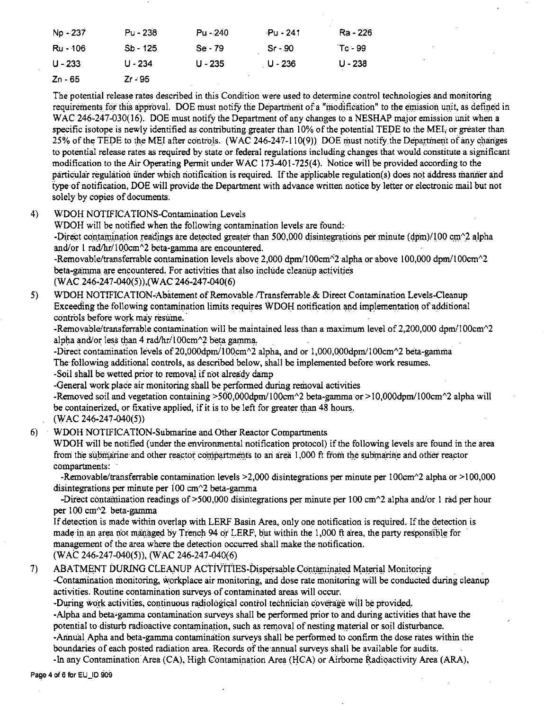| Np - 237 | Pu - 238   | $Pu - 240$ | Pu - 241 | Ra - 226  |
|----------|------------|------------|----------|-----------|
| Ru - 106 | $Sb - 125$ | $Se - 79$  | $Sr-90$  | $Tc - 99$ |
| U - 233  | $U - 234$  | $U - 235$  | U - 236  | $U - 238$ |
| Zn - 65  | $Zr - 95$  |            |          |           |

The potential release rates described in this Condition were used to determine control technologies and monitoring requirements for this approval. DOE must notify the Department of a "modification" to the emission unit, as defined in WAC 246-247-030(16). DOE must notify the Department of any changes to a NESHAP major emission unit when a specific isotope is newly identified as contributing greater than 10% of the potential TEDE to the MEI, or greater than 25% of the TEDE to the MEI after controls. (WAC 246-247-110(9)) DOE must notify the Department of any changes to potential release rates as required by state or federal regulations including changes that would constitute a significant modification to the Air Operating Permit under WAC 173-401-725(4). Notice will be provided according to the particular regulation under which notification is required. If the applicable regulation(s) does not address manner and iype of notification, DOE will provide the Department with advance written notice by letter or electronic mail but not solely by copies of documents;

4) WDOH NOTIFICATIONS-Contamination Levels

WDOH will be notified when the following contamination levels are found:-

-Direct contamination readings are detected greater than 500,000 disintegrations per minute (dpm)/100 cm<sup> $\sim$ </sup>2 alpha and/or 1 rad/hr/100cm^2 beta-gamma are encountered.

-Removable/transferrable contamination levels above 2,000 dpm/100cm $\textdegree$ 2 alpha or above 100,000 dpm/100cm $\textdegree$ 2 beta-gamma are encountered. For activities that also include cleanup activities (WAC 246-247-040(5)), (WAC 246-247-040(6)

5) WDOH NOTIFICA TION°Abatement of Removable ffransferrable & Direct Contamination Levels-Cleanup Exceeding the following contamination limits requires WDOH notification and implementation of additional controls before work may resume.

-Removable/transferrable contamination will be maintained less than a maximum level of 2,200,000 dpm/100cm $\gamma$ 2 alpha and/or less than 4 rad/hr/l00cm $\textdegree$ 2 beta gamma,

-Direct contamination levels of 20,000dpm/100cm^2 alpha, and or 1,000,000dpm/100cm^2 beta-gamma

The following additional controls, as described below, shall be implemented before work resumes.

-Soil shall be wetted prior to removal if not already damp

-General work place air monitoring shall be performed during removal activities

-Removed soil and vegetation containing >500,000dpm/100cm^2 beta-gamma or >10,000dpm/100cm^2 alpha will be containerized, or fixative applied, if it is to be left for greater than 48 hours.

 $(WAC 246-247-040(5))$ 

6) WDOH NOTIFICATION-Submarine aod Other Reactor Compartments

WDOH will be notified (under the environmental notification protocol) if the following levels are found in the area from the submarine and other reactor compartments to an area 1,000 ft from the submarine and other reactor compartments:

-Removable/transferrable contamination levels >2,000 disintegrations per minute per 100cm^2 alpha or >100,000 disintegrations per minute per  $100 \text{ cm}$ <sup>2</sup> beta-gamma

-Direct contamination readings of  $>500,000$  disintegrations per minute per 100 cm $\gamma$ 2 alpha and/or 1 rad per hour per 100 cm<sup>2</sup>. beta-gamma

If detection is made within overlap with LERF Basin Area, only one notification is required. If the detection is made in an area not managed by Trench 94 or LERF, but within the 1,000 ft area, the party responsible for management of the area where the detection occurred shall make the notification. (WAC 246-247-040(5)), (WAC 246-247-040(6)

7) ABATMENT DURING CLEANUP ACTIVITIES-Dispersable.Contaminated Material Monitoring

-Contamination monitoring, workplace air monitoring, and dose rate monitoring will be conducted during cleanup activities. Routine contamination surveys of contaminated areas will occur.

-During work activities, continuous radiological control technician coverage will be provided.

-Alpha and beta=gamma contamination surveys shall be performed prior to and during activities that have the potential to disturb radioactive contamination, such as removal of nesting material or soil disturbance.

-Annual Apha and beta-gamma contamination surveys shall be performed to confirm the dose rates within the boundaries of each posted radiation area. Records of the·annual surveys shall be available for audits.

-In any Contamination Area (CA), High Contamination Area (HCA) or Airborne Radioactivity Area (ARA),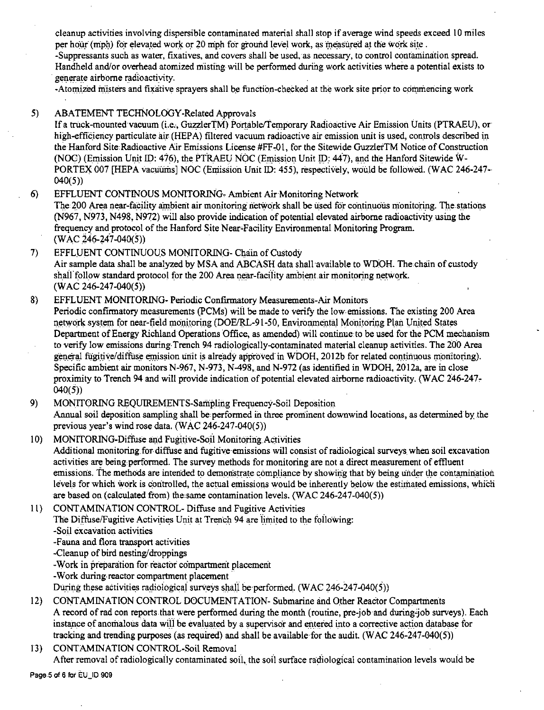cleanup activities involving dispersible contaminated material shall stop if average wind speeds exceed 10 miles per hour (mph) for elevated work or 20 mph for ground level work, as measured at the work site.

-Suppressants such as water, fixatives, and covers shall be used, as necessary, to control contamination spread. Handheld and/or overhead atomized misting will be performed during work activities where.a potential exists to generate airborne radioactivity.

-Atomized misters and fixative sprayers shall be function-checked at the work site prior to commencing work

# 5) ABATEMENT TECHNOLOGY-Related Approvals

If a truck-mounted vacuum (i.e., GuzzlerTM) Portable/I'emporary Radioactive Air Emission Units (PTRAEU), or high-efficiency particulate air (HEPA) filtered vacuum radioactive air emission unit is used, controls described in the Hanford Site Radioactive Air Emissions License #FF--01, for the Sitewide GuzzlerTM Notice of Construction (NOC) (Emission Unit ID: 476), the PTRAEU NOC (Emission Unit ID: 447), and the Hanford Sitewide W-PORTEX 007 [HEPA vacuums] NOC (Emission Unit ID: 455), respectively, would be followed. (WAC 246-247-040(5))

- 6) EFFLUENT CONTINOUS MONITORING- Ambient Air Monitoring Network The 200 Area near-facility ambient air monitoring network shall be used for continuous monitoring. The stations (N967, N973, N498, N972) will also provide indication of potential elevated airborne radioactivity using the frequency and protocol of the Hanford Site Near,Facility Environmental Monitoring Program.  $(WAC 246-247-040(5))$
- 7) EFFLUENT CONTINUOUS MONITORING- Chain of Custody Air sample data shall be analyzed by MSA and ABCASH data shall available to WDOH. The chain of custody shall follow standard protocol for the 200 Area near-facility ambient air monitoring network.  $(WAC 246-247-040(5))$
- 8) EFFLUENT MONITORING- Periodic Confirmatory Measurements-Air Monitors Periodic confirmatory measurements (PCMs) will be made to verify the low emissions. The existing 200 Area network system for near-field monitoring (DOE/RL-91-50, Environmental Monitoring Plan United States Department of Energy Richland Operations Office, as amended) will continue to be used for the PCM mechanism to verify low emissions during-Trench 94 radiologically-contaminated material cleanup activities. The 200 Area general fugitive/diffuse emission unit is already approved in WDOH, 2012b for related continuous monitoring). Specific ambient air monitors N-967, N-973, N-498, and N-972 (as identified in WDOH, 2012a, are in close proximity to Trench 94 and will provide indication of potential elevated airborne radioactivity. (WAC 246-247, 040(5))
- 9) MONITORING REQUIREMENTS-Sampling Frequency-Soil Deposition Annual soil deposition sampling shall be performed in three prominent downwind locations, as determined by the previous year's wind rose data. (WAC 246-247-040(5))
- 10) MONITORING-Diffuse and Fugitive-Soil Monitoring Activities Additional monitoring for diffuse and fugitive-emissions will consist of radiological surveys when soil excavation activities are being.performed. The survey methods for monitoring are not a direct measurement of effluent emissions. The methods are intended to demonstrate compliance by showing that by being under the contamination levels for which work is controlled, the actual emissions would be inherently below the estimated emissions, which are based on (calculated from) the same contamination levels.  $(WAC 246-247-040(5))$
- l l) CONTAMINATION CONTROL- Diffuse and Fugitive Activities The Diffuse/Fugitive Activities Unit at Trench 94 are limited to the following: -Soil excavation activities -Fauna and flora transport activities -Cleanup of bird nesting/droppings -Work in preparation for reactor compartment placement -Work during-reactor compartment placement·
	- During these activities radiological surveys shall be performed. (WAC 246-247-040(5))
- 12) CONTAMINATION CONTROL DOCUMENTATION- Submarine and Other Reactor Compartments A record of rad con reports that were performed during the month (routine, pre-job and during"job surveys). Each instance of anomalous data will be evaluated by a supervisor and entered into a corrective action database for tracking and trending purposes (as required) and shall be available for the audit. (WAC 246-247-040(5))
- 13) CONTAMINATION CONTROL-Soil Removal After removal of radiologically contaminated soil, the soil surface radiological contamination levels would be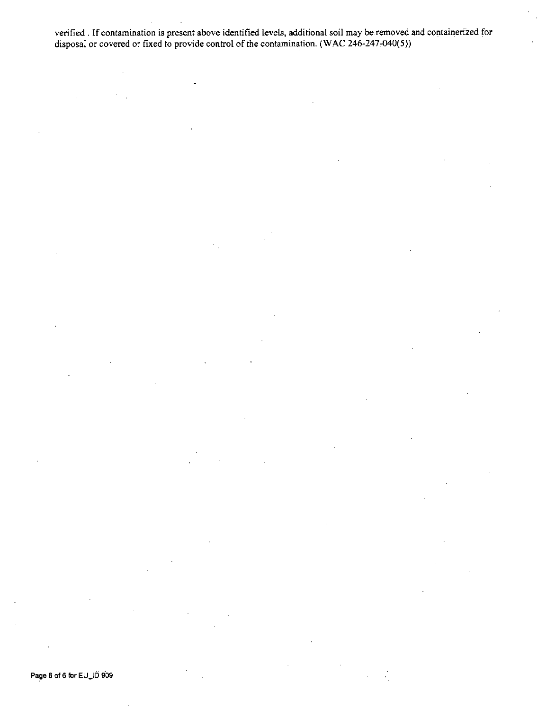verified . If contamination is present above identified levels, additional soil may be.removed and containerized for disposal or covered or fixed to provide control of the contamination. (WAC 246-247-040(5))

Page 6 of 6 for EU\_ID 909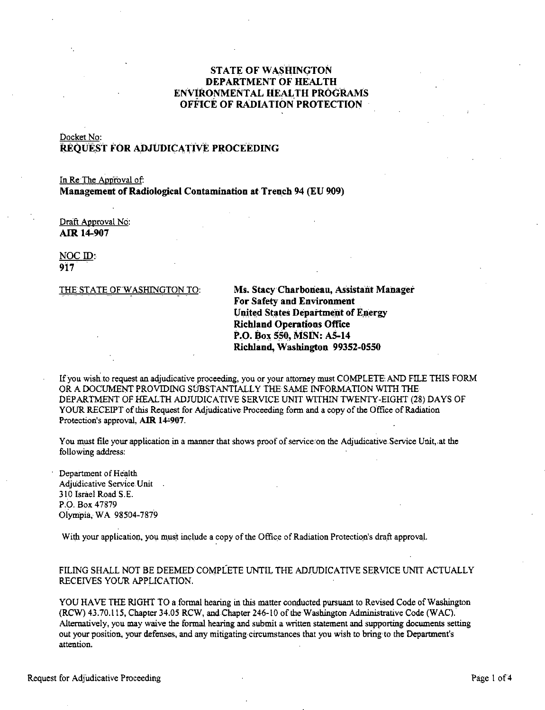# **STATE OF WASHINGTON DEPARTMENT OF HEALTH ENVIRONMENTAL HEALTH PROGRAMS OFFICE OF RADIATION PROTECTION**

# Docket No: **REQUEST FOR ADJUDICATIVE PROCEEDING**

In Re The Appfoval of: **Management of Radiological Contamination at Trench 94 (EU 909)** 

Draft Approval No: **AIR 14-907** 

NOC ID: **917** 

THE STATE OF WASHINGTON TO: Ms. Stacy Charboneau, Assistant Manager **For Safety and Environment United States Department of E.nergy Richland Operations Office P.O. \$ox 550, MSIN: AS-14 Richland, Washington 99352-0550** 

lfyou wish.to request an adjudicative proceeding, you or your attorney must COMPLETE AND FILE THIS FORM OR A DOCUMENT PROVIDING SUBSTANTIALLY THE SAME INFORMATION WITH THE DEPARTMENT OF HEALTH ADJUDICATIVE SERVICE UNIT WITHIN TWENTY-EIGHT (28) DAYS OF YOUR RECEIPT of this Request for Adjudicative Proceeding form and a copy of the Office of Radiation Protection's approval, AIR 14-907.

You must file your application in a manner that shows proof of service:on the Adjudicative. Service Unit, at the following address:

Department of Health Adjudicative Service Unit 310 Israel Road S.E. P.O. Box 47879 Olympia, WA 98504-7879

With your application, you must include a copy of the Office of Radiation Protection's draft approval,

## FILING SHALL NOT BE DEEMED COMPLETE UNTIL THE ADJUDICATIVE SERVICE UNIT ACTUALLY RECEIVES YOUR APPLICATION.

YOU HAVE THE RIGHT TO a formal hearing in this matter conducted pursuant to Revised Code of Washington (RCW) 43. 70.115, Chapter 34.05 RCW, and Chapter 246-10 of the Washington Administrative Code (WAC). Alternatively, you may waive the formal hearing and submit a written statement and supporting documents setting out your position, your defenses, and any mitigating-circumstances that you wish to bring to the Department's attention.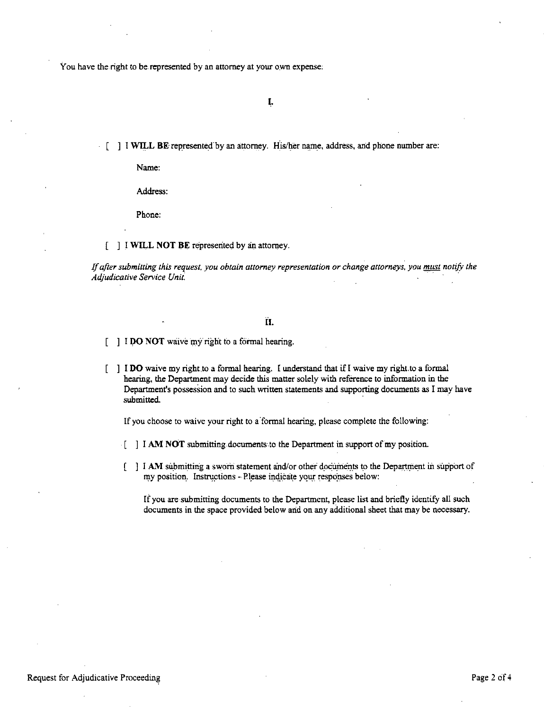You have the right to be represented by an attorney at your own expense:

(.

[ ] I **WILL BE** represented by an attorney. His/her name, address, and phone number are:

Name:

Address:

Phone:

[ ] .I **WILL NOT BE** represented by an attorney.

*If after submitting this request, you obtain attorney representation or change attorneys, you must notify the Adjudicative Service Unit.* · · ·

#### II.

**I I DO NOT** waive my right to a formal hearing.

] I **DO** waive my right.to a formal hearing. I understand that if I waive my right.to **a** formal hearing, the Department may decide this matter solely with reference to information in the Department's possession and to such written statements and supporting documents as I may have submitted.

If you choose to waive your right to a formal hearing, please complete the following:

- [ ] I **AM NOT** submitting documents to the Department in support of my position.
- I **AM** submitting a sworn statement and/or other documents to the Department in support of my position. Instructions - Please indicate your responses below:

If you are submitting documents to the Department, please list and briefly identify all such documents in the space provided below and on any additional sheet that may be necessary.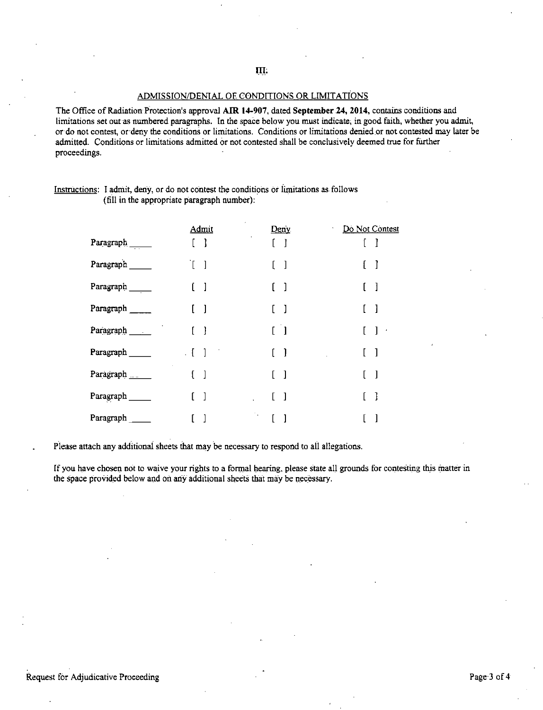**IIt** 

#### ADMISSION/DENlAL Of CONDITIONS OR LIMITATIONS

The Office of Radiation Protection's approval **AIR 14'907,** dated **September 24, 2014,** contains conditions and limitations set out as numbered paragraphs. In the space below you must indicate; in good faith, whether you admit, or do not contest, or·deny the conditions or limitations. Conditions or limitations denied \_or not contested may later be admitted. Conditions or limitations admitted or not contested shall be conclusively deemed true for further proceedings.

|                  | Admit                             | Deny                              | Do Not Contest             |
|------------------|-----------------------------------|-----------------------------------|----------------------------|
| Paragraph $\_\_$ | $\mathbf{I}$                      |                                   |                            |
| Paragraph        | T<br>- 1                          |                                   | -1                         |
| Paragraph $\_\_$ | $\begin{bmatrix} 1 \end{bmatrix}$ |                                   | -1                         |
| Paragraph        | $\begin{bmatrix} 1 \end{bmatrix}$ |                                   | -1                         |
| Paragraph        | $\begin{bmatrix} 1 \end{bmatrix}$ | $\begin{bmatrix} 1 \end{bmatrix}$ | $\mathbf{I}$<br>$\epsilon$ |
| Paragraph        | $\overline{\phantom{a}}$          | -1                                | $\mathbf{I}$               |
| Paragraph ___    | $\begin{bmatrix} 1 \end{bmatrix}$ | ſ<br>-1                           | $\blacksquare$             |
| Paragraph        |                                   |                                   | -1                         |
| Paragraph        |                                   | $\mathcal{P}_{\mathbf{A}}$        |                            |

#### Instructions: I admit, deny, or do not contest the conditions or limitations as follows (fill in the appropriate paragraph number):

Please attach any additional sheets that may be necessary to respond to all allegations.

If you have chosen not to waive your rights to a formal hearing, please state all grounds for contesting this matter in the space provided below and on any additional sheets that may be necessary.